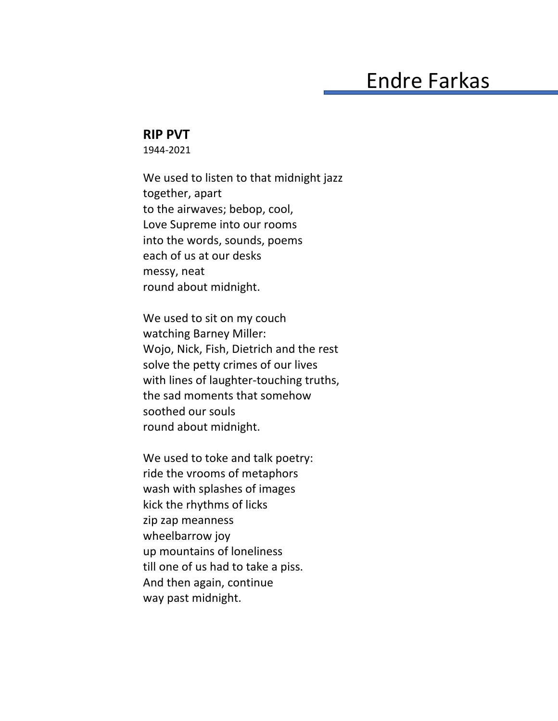## Endre Farkas

## **RIP PVT**

1944-2021

We used to listen to that midnight jazz together, apart to the airwaves; bebop, cool, Love Supreme into our rooms into the words, sounds, poems each of us at our desks messy, neat round about midnight.

We used to sit on my couch watching Barney Miller: Wojo, Nick, Fish, Dietrich and the rest solve the petty crimes of our lives with lines of laughter-touching truths, the sad moments that somehow soothed our souls round about midnight.

We used to toke and talk poetry: ride the vrooms of metaphors wash with splashes of images kick the rhythms of licks zip zap meanness wheelbarrow joy up mountains of loneliness till one of us had to take a piss. And then again, continue way past midnight.